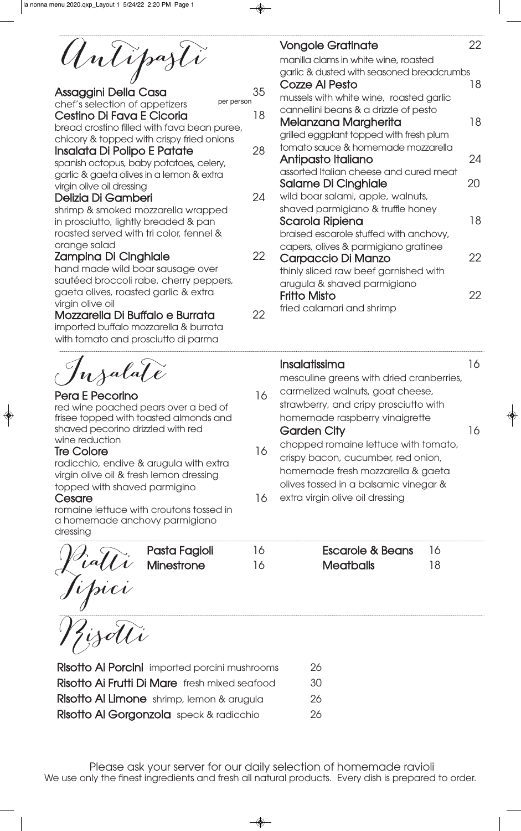Antipasti

| Assaggini Della Casa<br>per person<br>chef's selection of appetizers<br>Cestino Di Fava E Cicoria<br>bread crostino filled with fava bean puree,<br>chicory & topped with crispy fried onions<br>Insalata Di Polipo E Patate<br>spanish octopus, baby potatoes, celery,<br>garlic & gaeta olives in a lemon & extra<br>virgin olive oil dressing<br>Delizia Di Gamberi<br>shrimp & smoked mozzarella wrapped<br>in prosciutto, lightly breaded & pan<br>roasted served with tri color, fennel &<br>orange salad<br>Zampina Di Cinghiale<br>hand made wild boar sausage over<br>sautéed broccoli rabe, cherry peppers,<br>gaeta olives, roasted garlic & extra<br>virgin olive oil | 35<br>18<br>28<br>24<br>22 | Cozze Al Pesto<br>mussels with white wine, roasted garlic<br>cannellini beans & a drizzle of pesto<br>Melanzana Margherita<br>grilled eggplant topped with fresh plum<br>tomato sauce & homemade mozzarella<br>Antipasto Italiano<br>assorted Italian cheese and cured meat<br><b>Salame Di Cinghiale</b><br>wild boar salami, apple, walnuts,<br>shaved parmigiano & truffle honey<br>Scarola Ripiena<br>braised escarole stuffed with anchovy,<br>capers, olives & parmigiano gratinee<br>Carpaccio Di Manzo<br>thinly sliced raw beef garnished with<br>arugula & shaved parmigiano<br><b>Fritto Misto</b><br>fried calamari and shrimp | 18<br>18<br>24<br>20<br>18<br>22<br>22 |
|-----------------------------------------------------------------------------------------------------------------------------------------------------------------------------------------------------------------------------------------------------------------------------------------------------------------------------------------------------------------------------------------------------------------------------------------------------------------------------------------------------------------------------------------------------------------------------------------------------------------------------------------------------------------------------------|----------------------------|--------------------------------------------------------------------------------------------------------------------------------------------------------------------------------------------------------------------------------------------------------------------------------------------------------------------------------------------------------------------------------------------------------------------------------------------------------------------------------------------------------------------------------------------------------------------------------------------------------------------------------------------|----------------------------------------|
| Mozzarella Di Buffalo e Burrata<br>imported buffalo mozzarella & burrata<br>with tomato and prosciutto di parma                                                                                                                                                                                                                                                                                                                                                                                                                                                                                                                                                                   | 22                         |                                                                                                                                                                                                                                                                                                                                                                                                                                                                                                                                                                                                                                            |                                        |
| Inzalaté                                                                                                                                                                                                                                                                                                                                                                                                                                                                                                                                                                                                                                                                          | 7 <sup>2</sup>             | Insalatissima<br>mesculine greens with dried cranberries,<br>carmelized walnuts, goat cheese,                                                                                                                                                                                                                                                                                                                                                                                                                                                                                                                                              | 16                                     |

## Pera E Pecorino 164 | 164 | 165 | 166 | 167 | 168 | 169 | 169 | 169 | 169 | 169 | 169 | 169 | 169 | 169 | 169 | 169 | 169 | 169 | 169 | 169 | 169 | 169 | 169 | 169 | 169 | 169 | 169 | 169 | 169 | 169 | 169 | 169 | 169 | 16

red wine poached pears over a bed of frisee topped with toasted almonds and shaved pecorino drizzled with red wine reduction

### Tre Colore **16 and 16 and 16 and 16 and 16 and 16 and 16 and 16 and 16 and 16 and 16 and 16 and 16 and 16 and 16 and 16 and 16 and 16 and 16 and 16 and 16 and 16 and 16 and 16 and 16 and 16 and 16 and 16 and 16 and 16 and**

radicchio, endive & arugula with extra virgin olive oil & fresh lemon dressing topped with shaved parmigino Cesare 16

romaine lettuce with croutons tossed in a homemade anchovy parmigiano dressing

Piatti Tipici

Minestrone 16 Meatballs 18

Risotti

| Risotto Ai Porcini imported porcini mushrooms | 26 |
|-----------------------------------------------|----|
| Risotto Ai Frutti Di Mare fresh mixed seafood | 30 |
| Risotto Al Limone shrimp, lemon & arugula     | 26 |
| Risotto Al Gorgonzola speck & radicchio       | 26 |

Vongole Gratinate 22 manilla clams in white wine, roasted garlic & dusted with seasoned breadcrumbs Cozze Al Pesto 18 white wine, roasted garlic eans & a drizzle of pesto a Margherita **18** ant topped with fresh plum te & homemade mozzarella Antipasto Italiano 24 an cheese and cured meat Cinghiale 20 lami, apple, walnuts, nigiano & truffle honey Siena 18 arole stuffed with anchovy,

|  | Insalatissima                            |     |
|--|------------------------------------------|-----|
|  | mesculine greens with dried cranberries, |     |
|  | carmelized walnuts, goat cheese,         |     |
|  | strawberry, and cripy prosciutto with    |     |
|  | homemade raspberry vinaigrette           |     |
|  | <b>Garden City</b>                       | l 6 |
|  | chopped romaine lettuce with tomato,     |     |
|  | crispy bacon, cucumber, red onion,       |     |
|  | homemade fresh mozzarella & gaeta        |     |
|  | olives tossed in a balsamic vinegar &    |     |
|  | extra virgin olive oil dressing          |     |
|  |                                          |     |
|  |                                          |     |

16 **Escarole & Beans** 16

 Please ask your server for our daily selection of homemade ravioli We use only the finest ingredients and fresh all natural products. Every dish is prepared to order.

◈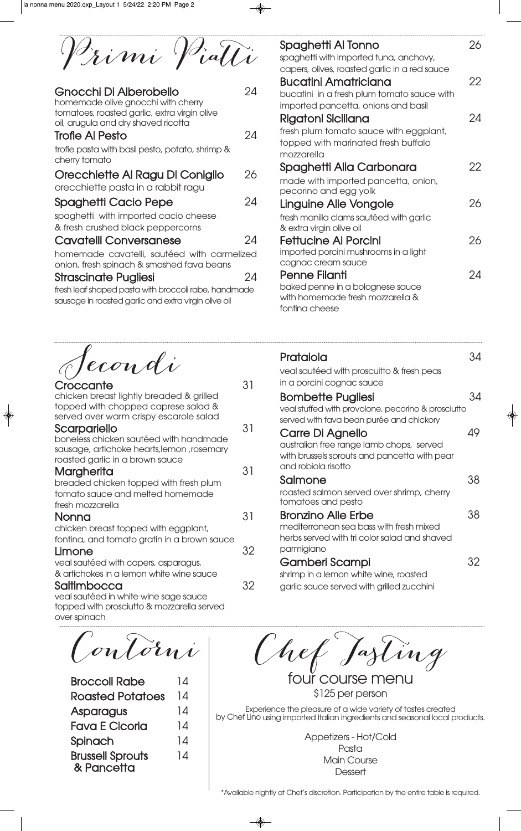Primi Piatti

| Gnocchi Di Alberobello<br>homemade olive gnocchi with cherry<br>tomatoes, roasted garlic, extra virgin olive | 24 |
|--------------------------------------------------------------------------------------------------------------|----|
| oil, arugula and dry shaved ricotta<br><b>Trofie Al Pesto</b>                                                | 24 |
| trofie pasta with basil pesto, potato, shrimp &<br>cherry tomato                                             |    |
| Orecchiette Al Ragu Di Coniglio                                                                              | 26 |
| orecchiette pasta in a rabbit ragu                                                                           |    |
| <b>Spaghetti Cacio Pepe</b>                                                                                  | 24 |
| spaghetti with imported cacio cheese                                                                         |    |
| & fresh crushed black peppercorns                                                                            |    |
| Cavatelli Conversanese                                                                                       | 24 |
| homemade cavatelli, sautéed with carmelized<br>onion, fresh spinach & smashed fava beans                     |    |
| <b>Strascinate Pugliesi</b>                                                                                  | 24 |
| fresh leaf shaped pasta with broccoli rabe, handmade                                                         |    |
| sausage in roasted garlic and extra virgin olive oil                                                         |    |

Secondi

♦

| Croccante                                   | 31 | in a po      |
|---------------------------------------------|----|--------------|
| chicken breast lightly breaded & grilled    |    | <b>Boml</b>  |
| topped with chopped caprese salad &         |    | veal stu     |
| served over warm crispy escarole salad      |    | served       |
| Scarpariello                                | 31 |              |
| boneless chicken sautéed with handmade      |    | Carre        |
| sausage, artichoke hearts,Iemon ,rosemary   |    | austral      |
| roasted garlic in a brown sauce             |    | with br      |
| Margherita                                  | 31 | and rc       |
| breaded chicken topped with fresh plum      |    | Salm         |
| tomato sauce and melted homemade            |    | roaste       |
| fresh mozzarella                            |    | tomat        |
| Nonna                                       | 31 | <b>Bronz</b> |
| chicken breast topped with eggplant,        |    | medite       |
| fontina, and tomato gratin in a brown sauce |    | herbs s      |
| Limone                                      | 32 | parmig       |
| veal sautéed with capers, asparagus,        |    | Gam          |
| & artichokes in a lemon white wine sauce    |    | shrimp       |
| Saltimbocca                                 | 32 | garlic:      |
|                                             |    |              |

veal sautéed in white wine sage sauce topped with prosciutto & mozzarella served over spinach

Contorni

| 14 |           |
|----|-----------|
| 14 |           |
| 14 | by Chef L |
| 14 |           |
| 14 |           |
| 14 |           |
|    |           |

| Spaghetti Al Tonno                            | 26 |
|-----------------------------------------------|----|
| spaghetti with imported tuna, anchovy,        |    |
| capers, olives, roasted garlic in a red sauce |    |
| <b>Bucatini Amatriciana</b>                   | 22 |
| bucatini in a fresh plum tomato sauce with    |    |
| imported pancetta, onions and basil           |    |
| Rigatoni Siciliana                            | 24 |
| fresh plum tomato sauce with eggplant,        |    |
| topped with marinated fresh buffalo           |    |
| mozzarella                                    |    |
| Spaghetti Alla Carbonara                      | 22 |
| made with imported pancetta, onion,           |    |
| pecorino and egg yolk                         |    |
| Linguine Alle Vongole                         | 26 |
| fresh manilla clams sautéed with garlic       |    |
| & extra virgin olive oil                      |    |
| <b>Fettucine Ai Porcini</b>                   | 26 |
| imported porcini mushrooms in a light         |    |
| cognac cream sauce                            |    |
| <b>Penne Filanti</b>                          | 24 |
| baked penne in a bolognese sauce              |    |
| with homemade fresh mozzarella &              |    |
| fontina cheese                                |    |

| Prataiola                                                                                      |     |
|------------------------------------------------------------------------------------------------|-----|
| veal sautéed with proscuitto & fresh peas                                                      |     |
| in a porcini cognac sauce                                                                      |     |
| <b>Bombette Pugliesi</b>                                                                       | :34 |
| veal stuffed with provolone, pecorino & prosciutto<br>served with fava bean purée and chickory |     |
| Carre Di Agnello                                                                               | 49  |
| australian free range lamb chops, served                                                       |     |
| with brussels sprouts and pancetta with pear                                                   |     |
| and robiola risotto                                                                            |     |
| Salmone                                                                                        | 38  |
| roasted salmon served over shrimp, cherry<br>tomatoes and pesto                                |     |
| <b>Bronzino Alle Erbe</b>                                                                      | 38  |
| mediterranean sea bass with fresh mixed                                                        |     |
| herbs served with tri color salad and shaved                                                   |     |
| parmigiano                                                                                     |     |
| Gamberi Scampi                                                                                 | 32  |
| shrimp in a lemon white wine, roasted                                                          |     |
| garlic sauce served with grilled zucchini                                                      |     |

◈

Chef Tasting

fouř course menu \$125 per person

Asparagus 14 by Chef Lino using imported Italian ingredients and seasonal local products. Experience the pleasure of a wide variety of tastes created

> Appetizers - Hot/Cold Pasta Main Course **Dessert**

\*Available nightly at Chef's discretion. Participation by the entire table is required.

 $\overline{\bullet}$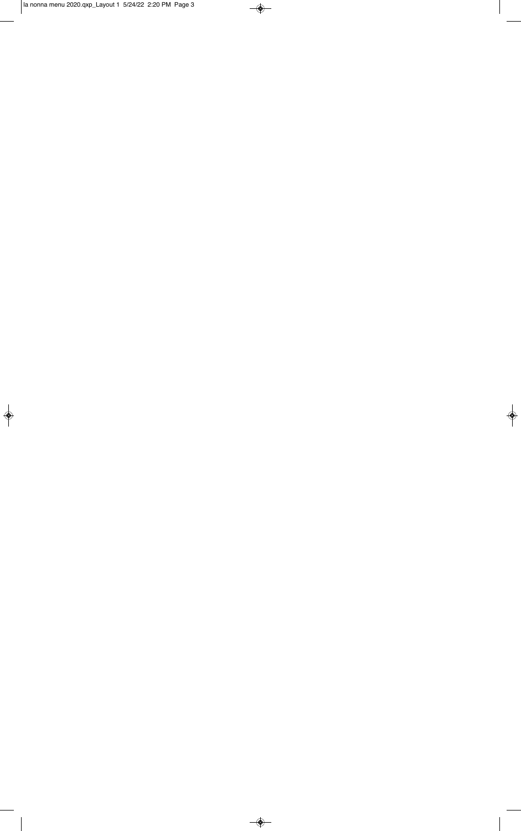$\begin{picture}(120,15) \put(0,0){\line(1,0){155}} \put(15,0){\line(1,0){155}} \put(15,0){\line(1,0){155}} \put(15,0){\line(1,0){155}} \put(15,0){\line(1,0){155}} \put(15,0){\line(1,0){155}} \put(15,0){\line(1,0){155}} \put(15,0){\line(1,0){155}} \put(15,0){\line(1,0){155}} \put(15,0){\line(1,0){155}} \put(15,0){\line(1,0){155}}$ 

 $\begin{picture}(20,5) \put(0,0){\line(1,0){10}} \put(15,0){\line(1,0){10}} \put(15,0){\line(1,0){10}} \put(15,0){\line(1,0){10}} \put(15,0){\line(1,0){10}} \put(15,0){\line(1,0){10}} \put(15,0){\line(1,0){10}} \put(15,0){\line(1,0){10}} \put(15,0){\line(1,0){10}} \put(15,0){\line(1,0){10}} \put(15,0){\line(1,0){10}} \put(15,0){\line(1,$ 

 $\begin{picture}(20,20) \put(0,0){\line(1,0){10}} \put(15,0){\line(1,0){10}} \put(15,0){\line(1,0){10}} \put(15,0){\line(1,0){10}} \put(15,0){\line(1,0){10}} \put(15,0){\line(1,0){10}} \put(15,0){\line(1,0){10}} \put(15,0){\line(1,0){10}} \put(15,0){\line(1,0){10}} \put(15,0){\line(1,0){10}} \put(15,0){\line(1,0){10}} \put(15,0){\line(1$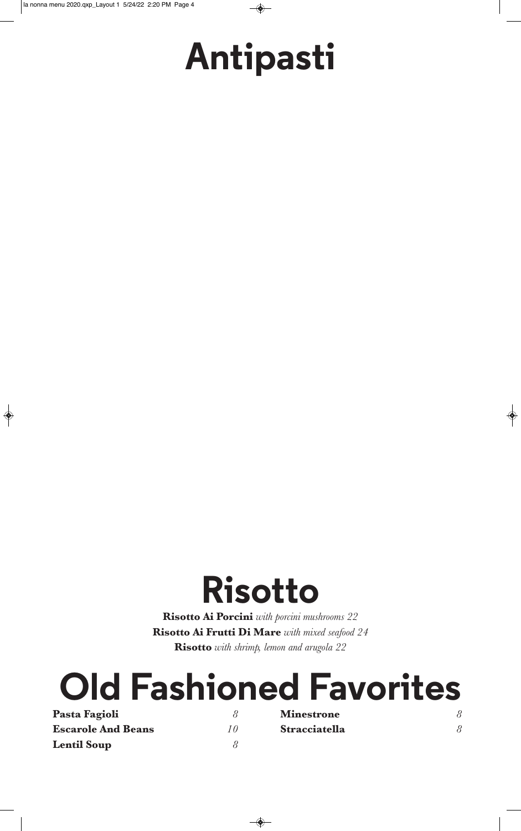## **Antipasti**

◈



**Risotto Ai Porcini** *with porcini mushrooms 22* **Risotto Ai Frutti Di Mare** *with mixed seafood 24* **Risotto** *with shrimp, lemon and arugola 22*

# **Old Fashioned Favorites**

 $\overline{\bullet}$ 

**Pasta Fagioli** *8* **Minestrone** *8* **Escarole And Beans** *10* **Stracciatella** *8* **Lentil Soup** *8*

 $\Rightarrow$ 

 $\bullet$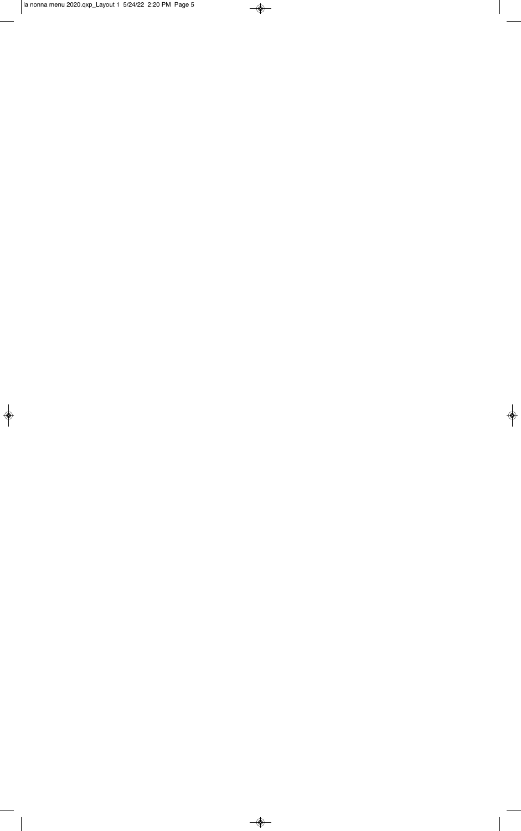$\begin{picture}(120,15) \put(0,0){\line(1,0){155}} \put(15,0){\line(1,0){155}} \put(15,0){\line(1,0){155}} \put(15,0){\line(1,0){155}} \put(15,0){\line(1,0){155}} \put(15,0){\line(1,0){155}} \put(15,0){\line(1,0){155}} \put(15,0){\line(1,0){155}} \put(15,0){\line(1,0){155}} \put(15,0){\line(1,0){155}} \put(15,0){\line(1,0){155}}$ 

 $\begin{picture}(20,5) \put(0,0){\line(1,0){10}} \put(15,0){\line(1,0){10}} \put(15,0){\line(1,0){10}} \put(15,0){\line(1,0){10}} \put(15,0){\line(1,0){10}} \put(15,0){\line(1,0){10}} \put(15,0){\line(1,0){10}} \put(15,0){\line(1,0){10}} \put(15,0){\line(1,0){10}} \put(15,0){\line(1,0){10}} \put(15,0){\line(1,0){10}} \put(15,0){\line(1,$ 

 $\begin{picture}(20,20) \put(0,0){\line(1,0){10}} \put(15,0){\line(1,0){10}} \put(15,0){\line(1,0){10}} \put(15,0){\line(1,0){10}} \put(15,0){\line(1,0){10}} \put(15,0){\line(1,0){10}} \put(15,0){\line(1,0){10}} \put(15,0){\line(1,0){10}} \put(15,0){\line(1,0){10}} \put(15,0){\line(1,0){10}} \put(15,0){\line(1,0){10}} \put(15,0){\line(1$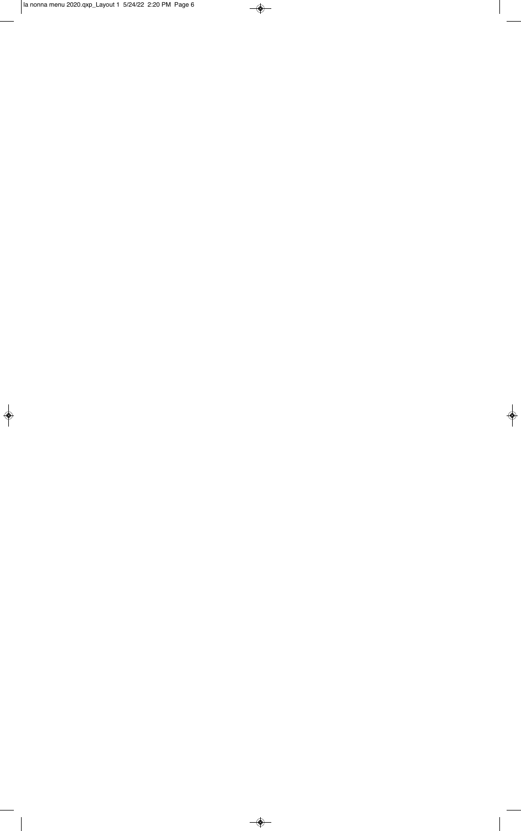$\begin{picture}(120,15) \put(0,0){\line(1,0){155}} \put(15,0){\line(1,0){155}} \put(15,0){\line(1,0){155}} \put(15,0){\line(1,0){155}} \put(15,0){\line(1,0){155}} \put(15,0){\line(1,0){155}} \put(15,0){\line(1,0){155}} \put(15,0){\line(1,0){155}} \put(15,0){\line(1,0){155}} \put(15,0){\line(1,0){155}} \put(15,0){\line(1,0){155}}$ 

 $\begin{picture}(20,5) \put(0,0){\line(1,0){10}} \put(15,0){\line(1,0){10}} \put(15,0){\line(1,0){10}} \put(15,0){\line(1,0){10}} \put(15,0){\line(1,0){10}} \put(15,0){\line(1,0){10}} \put(15,0){\line(1,0){10}} \put(15,0){\line(1,0){10}} \put(15,0){\line(1,0){10}} \put(15,0){\line(1,0){10}} \put(15,0){\line(1,0){10}} \put(15,0){\line(1,$ 

 $\begin{picture}(20,20) \put(0,0){\line(1,0){10}} \put(15,0){\line(1,0){10}} \put(15,0){\line(1,0){10}} \put(15,0){\line(1,0){10}} \put(15,0){\line(1,0){10}} \put(15,0){\line(1,0){10}} \put(15,0){\line(1,0){10}} \put(15,0){\line(1,0){10}} \put(15,0){\line(1,0){10}} \put(15,0){\line(1,0){10}} \put(15,0){\line(1,0){10}} \put(15,0){\line(1$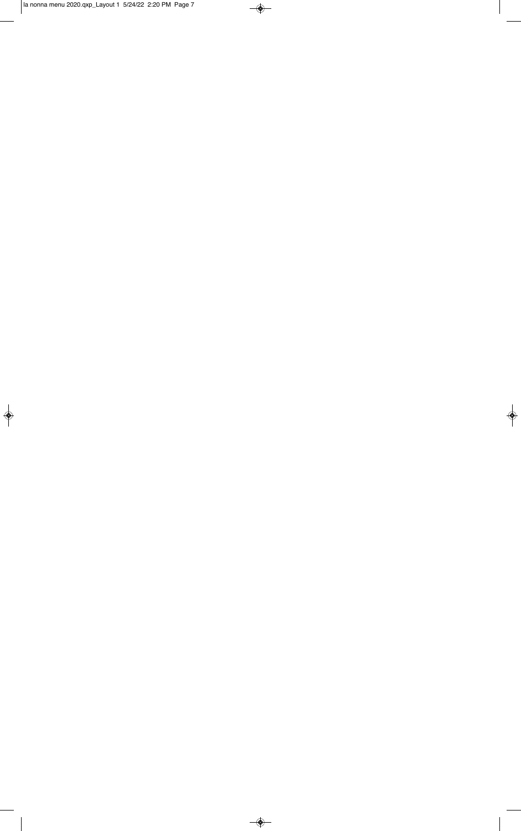$\begin{picture}(120,15) \put(0,0){\line(1,0){155}} \put(15,0){\line(1,0){155}} \put(15,0){\line(1,0){155}} \put(15,0){\line(1,0){155}} \put(15,0){\line(1,0){155}} \put(15,0){\line(1,0){155}} \put(15,0){\line(1,0){155}} \put(15,0){\line(1,0){155}} \put(15,0){\line(1,0){155}} \put(15,0){\line(1,0){155}} \put(15,0){\line(1,0){155}}$ 

 $\begin{picture}(20,20) \put(0,0){\line(1,0){10}} \put(15,0){\line(1,0){10}} \put(15,0){\line(1,0){10}} \put(15,0){\line(1,0){10}} \put(15,0){\line(1,0){10}} \put(15,0){\line(1,0){10}} \put(15,0){\line(1,0){10}} \put(15,0){\line(1,0){10}} \put(15,0){\line(1,0){10}} \put(15,0){\line(1,0){10}} \put(15,0){\line(1,0){10}} \put(15,0){\line(1$ 

 $\begin{picture}(20,20) \put(0,0){\line(1,0){10}} \put(15,0){\line(1,0){10}} \put(15,0){\line(1,0){10}} \put(15,0){\line(1,0){10}} \put(15,0){\line(1,0){10}} \put(15,0){\line(1,0){10}} \put(15,0){\line(1,0){10}} \put(15,0){\line(1,0){10}} \put(15,0){\line(1,0){10}} \put(15,0){\line(1,0){10}} \put(15,0){\line(1,0){10}} \put(15,0){\line(1$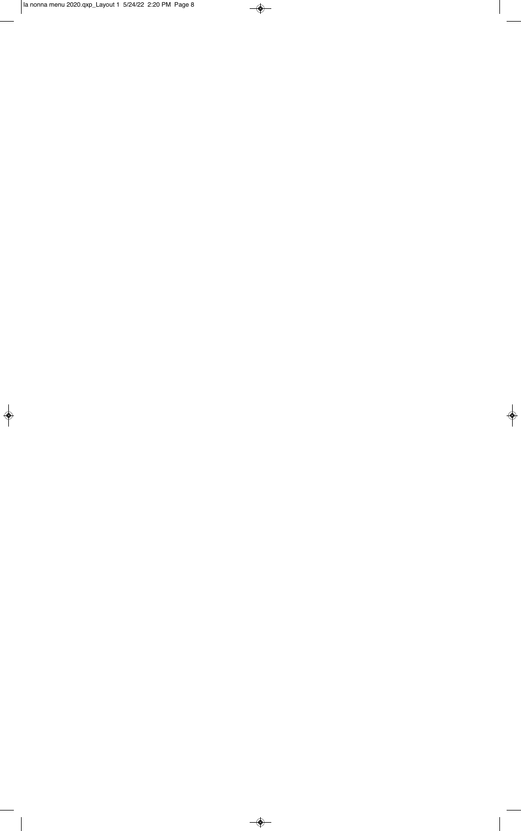$\begin{picture}(120,15) \put(0,0){\line(1,0){155}} \put(15,0){\line(1,0){155}} \put(15,0){\line(1,0){155}} \put(15,0){\line(1,0){155}} \put(15,0){\line(1,0){155}} \put(15,0){\line(1,0){155}} \put(15,0){\line(1,0){155}} \put(15,0){\line(1,0){155}} \put(15,0){\line(1,0){155}} \put(15,0){\line(1,0){155}} \put(15,0){\line(1,0){155}}$ 

 $\begin{picture}(20,5) \put(0,0){\line(1,0){10}} \put(15,0){\line(1,0){10}} \put(15,0){\line(1,0){10}} \put(15,0){\line(1,0){10}} \put(15,0){\line(1,0){10}} \put(15,0){\line(1,0){10}} \put(15,0){\line(1,0){10}} \put(15,0){\line(1,0){10}} \put(15,0){\line(1,0){10}} \put(15,0){\line(1,0){10}} \put(15,0){\line(1,0){10}} \put(15,0){\line(1,$ 

 $\begin{picture}(20,20) \put(0,0){\line(1,0){10}} \put(15,0){\line(1,0){10}} \put(15,0){\line(1,0){10}} \put(15,0){\line(1,0){10}} \put(15,0){\line(1,0){10}} \put(15,0){\line(1,0){10}} \put(15,0){\line(1,0){10}} \put(15,0){\line(1,0){10}} \put(15,0){\line(1,0){10}} \put(15,0){\line(1,0){10}} \put(15,0){\line(1,0){10}} \put(15,0){\line(1$